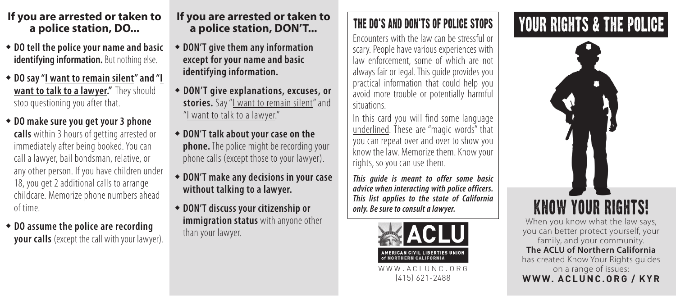### If you are arrested or taken to **if you are arrested or taken to IFHE DO'S AND DON'TS OF POLICE STOPS YOUR RIGHTS & THE POLICE a police station, DO...**

- w **DO tell the police your name and basic identifying information.** But nothing else.
- w **DO say "I want to remain silent" and "I want to talk to a lawyer."** They should stop questioning you after that.
- w **DO make sure you get your 3 phone calls** within 3 hours of getting arrested or immediately after being booked. You can call a lawyer, bail bondsman, relative, or any other person. If you have children under 18, you get 2 additional calls to arrange childcare. Memorize phone numbers ahead of time.
- $\bullet$  DO assume the police are recording **your calls** (except the call with your lawyer).

# **If you are arrested or taken to a police station, DON'T...**

- w **DON'T give them any information except for your name and basic identifying information.**
- w **DON'T give explanations, excuses, or stories.** Say "I want to remain silent" and "I want to talk to a lawyer."
- w **DON'T talk about your case on the phone.** The police might be recording your phone calls (except those to your lawyer).
- w **DON'T make any decisions in your case without talking to a lawyer.**
- w **DON'T discuss your citizenship or immigration status** with anyone other than your lawyer.

# The Do's and Don'ts of Police Stops

Encounters with the law can be stressful or scary. People have various experiences with law enforcement, some of which are not always fair or legal. This guide provides you practical information that could help you avoid more trouble or potentially harmful situations.

In this card you will find some language underlined. These are "magic words" that you can repeat over and over to show you know the law. Memorize them. Know your rights, so you can use them.

*This guide is meant to offer some basic advice when interacting with police officers. This list applies to the state of California only. Be sure to consult a lawyer.*